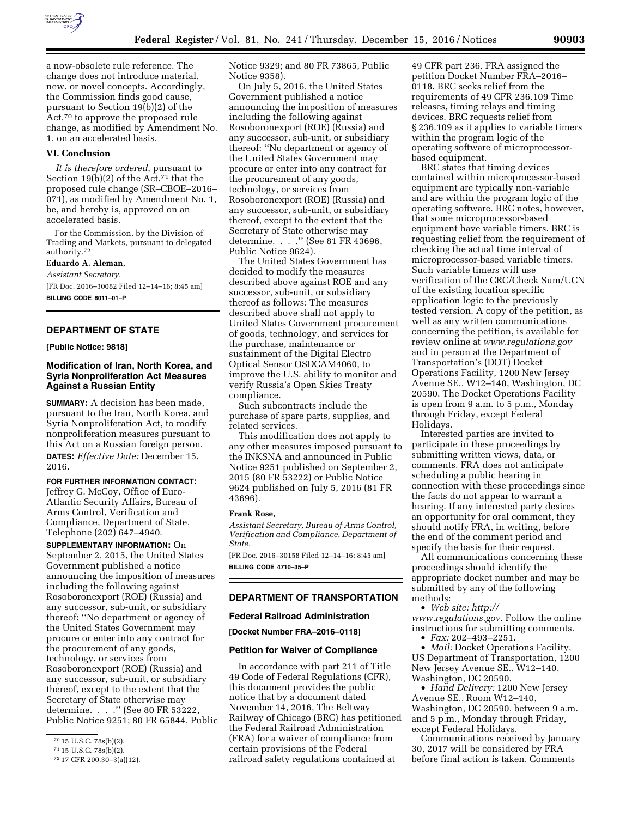

a now-obsolete rule reference. The change does not introduce material, new, or novel concepts. Accordingly, the Commission finds good cause, pursuant to Section 19(b)(2) of the Act,70 to approve the proposed rule change, as modified by Amendment No. 1, on an accelerated basis.

#### **VI. Conclusion**

*It is therefore ordered,* pursuant to Section 19(b)(2) of the Act,71 that the proposed rule change (SR–CBOE–2016– 071), as modified by Amendment No. 1, be, and hereby is, approved on an accelerated basis.

For the Commission, by the Division of Trading and Markets, pursuant to delegated authority.72

#### **Eduardo A. Aleman,**

*Assistant Secretary.* 

[FR Doc. 2016–30082 Filed 12–14–16; 8:45 am] **BILLING CODE 8011–01–P** 

# **DEPARTMENT OF STATE**

### **[Public Notice: 9818]**

# **Modification of Iran, North Korea, and Syria Nonproliferation Act Measures Against a Russian Entity**

**SUMMARY:** A decision has been made, pursuant to the Iran, North Korea, and Syria Nonproliferation Act, to modify nonproliferation measures pursuant to this Act on a Russian foreign person.

**DATES:** *Effective Date:* December 15, 2016.

**FOR FURTHER INFORMATION CONTACT:** 

Jeffrey G. McCoy, Office of Euro-Atlantic Security Affairs, Bureau of Arms Control, Verification and Compliance, Department of State, Telephone (202) 647–4940.

**SUPPLEMENTARY INFORMATION:** On September 2, 2015, the United States Government published a notice announcing the imposition of measures including the following against Rosoboronexport (ROE) (Russia) and any successor, sub-unit, or subsidiary thereof: ''No department or agency of the United States Government may procure or enter into any contract for the procurement of any goods, technology, or services from Rosoboronexport (ROE) (Russia) and any successor, sub-unit, or subsidiary thereof, except to the extent that the Secretary of State otherwise may determine. . . . " (See 80 FR 53222, Public Notice 9251; 80 FR 65844, Public Notice 9329; and 80 FR 73865, Public Notice 9358).

On July 5, 2016, the United States Government published a notice announcing the imposition of measures including the following against Rosoboronexport (ROE) (Russia) and any successor, sub-unit, or subsidiary thereof: ''No department or agency of the United States Government may procure or enter into any contract for the procurement of any goods, technology, or services from Rosoboronexport (ROE) (Russia) and any successor, sub-unit, or subsidiary thereof, except to the extent that the Secretary of State otherwise may determine. . . .'' (See 81 FR 43696, Public Notice 9624).

The United States Government has decided to modify the measures described above against ROE and any successor, sub-unit, or subsidiary thereof as follows: The measures described above shall not apply to United States Government procurement of goods, technology, and services for the purchase, maintenance or sustainment of the Digital Electro Optical Sensor OSDCAM4060, to improve the U.S. ability to monitor and verify Russia's Open Skies Treaty compliance.

Such subcontracts include the purchase of spare parts, supplies, and related services.

This modification does not apply to any other measures imposed pursuant to the INKSNA and announced in Public Notice 9251 published on September 2, 2015 (80 FR 53222) or Public Notice 9624 published on July 5, 2016 (81 FR 43696).

### **Frank Rose,**

*Assistant Secretary, Bureau of Arms Control, Verification and Compliance, Department of State.* 

[FR Doc. 2016–30158 Filed 12–14–16; 8:45 am] **BILLING CODE 4710–35–P** 

# **DEPARTMENT OF TRANSPORTATION**

#### **Federal Railroad Administration**

**[Docket Number FRA–2016–0118]** 

#### **Petition for Waiver of Compliance**

In accordance with part 211 of Title 49 Code of Federal Regulations (CFR), this document provides the public notice that by a document dated November 14, 2016, The Beltway Railway of Chicago (BRC) has petitioned the Federal Railroad Administration (FRA) for a waiver of compliance from certain provisions of the Federal railroad safety regulations contained at

49 CFR part 236. FRA assigned the petition Docket Number FRA–2016– 0118. BRC seeks relief from the requirements of 49 CFR 236.109 Time releases, timing relays and timing devices. BRC requests relief from § 236.109 as it applies to variable timers within the program logic of the operating software of microprocessorbased equipment.

BRC states that timing devices contained within microprocessor-based equipment are typically non-variable and are within the program logic of the operating software. BRC notes, however, that some microprocessor-based equipment have variable timers. BRC is requesting relief from the requirement of checking the actual time interval of microprocessor-based variable timers. Such variable timers will use verification of the CRC/Check Sum/UCN of the existing location specific application logic to the previously tested version. A copy of the petition, as well as any written communications concerning the petition, is available for review online at *[www.regulations.gov](http://www.regulations.gov)*  and in person at the Department of Transportation's (DOT) Docket Operations Facility, 1200 New Jersey Avenue SE., W12–140, Washington, DC 20590. The Docket Operations Facility is open from 9 a.m. to 5 p.m., Monday through Friday, except Federal Holidays.

Interested parties are invited to participate in these proceedings by submitting written views, data, or comments. FRA does not anticipate scheduling a public hearing in connection with these proceedings since the facts do not appear to warrant a hearing. If any interested party desires an opportunity for oral comment, they should notify FRA, in writing, before the end of the comment period and specify the basis for their request.

All communications concerning these proceedings should identify the appropriate docket number and may be submitted by any of the following methods:

• *Web site: [http://](http://www.regulations.gov)*

*[www.regulations.gov](http://www.regulations.gov)*. Follow the online instructions for submitting comments. • *Fax:* 202–493–2251.

• *Mail:* Docket Operations Facility, US Department of Transportation, 1200 New Jersey Avenue SE., W12–140, Washington, DC 20590.

• *Hand Delivery:* 1200 New Jersey Avenue SE., Room W12–140, Washington, DC 20590, between 9 a.m. and 5 p.m., Monday through Friday, except Federal Holidays.

Communications received by January 30, 2017 will be considered by FRA before final action is taken. Comments

<sup>70</sup> 15 U.S.C. 78s(b)(2).

<sup>71</sup> 15 U.S.C. 78s(b)(2).

<sup>72</sup> 17 CFR 200.30–3(a)(12).